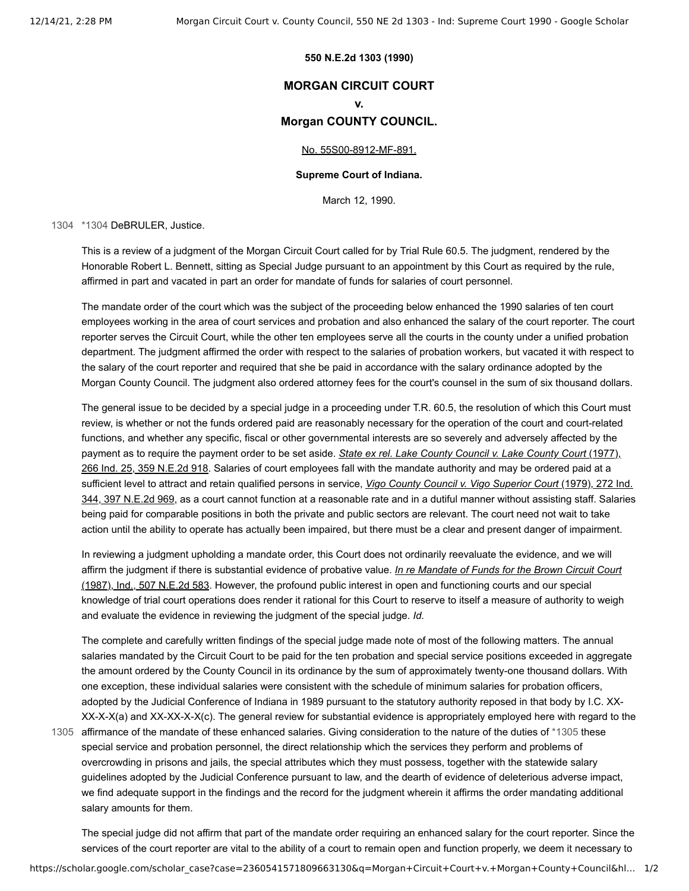### **550 N.E.2d 1303 (1990)**

# **MORGAN CIRCUIT COURT**

**v.**

## **Morgan COUNTY COUNCIL.**

### [No. 55S00-8912-MF-891.](https://scholar.google.com/scholar?scidkt=13175791400266957932&as_sdt=2&hl=en)

### **Supreme Court of Indiana.**

March 12, 1990.

[1304](#page-0-0) [\\*1304](#page-0-0) DeBRULER, Justice.

<span id="page-0-0"></span>This is a review of a judgment of the Morgan Circuit Court called for by Trial Rule 60.5. The judgment, rendered by the Honorable Robert L. Bennett, sitting as Special Judge pursuant to an appointment by this Court as required by the rule, affirmed in part and vacated in part an order for mandate of funds for salaries of court personnel.

The mandate order of the court which was the subject of the proceeding below enhanced the 1990 salaries of ten court employees working in the area of court services and probation and also enhanced the salary of the court reporter. The court reporter serves the Circuit Court, while the other ten employees serve all the courts in the county under a unified probation department. The judgment affirmed the order with respect to the salaries of probation workers, but vacated it with respect to the salary of the court reporter and required that she be paid in accordance with the salary ordinance adopted by the Morgan County Council. The judgment also ordered attorney fees for the court's counsel in the sum of six thousand dollars.

The general issue to be decided by a special judge in a proceeding under T.R. 60.5, the resolution of which this Court must review, is whether or not the funds ordered paid are reasonably necessary for the operation of the court and court-related functions, and whether any specific, fiscal or other governmental interests are so severely and adversely affected by the payment as to require the payment order to be set aside. *State ex rel. Lake County Council v. Lake County Court* (1977), [266 Ind. 25, 359 N.E.2d 918. Salaries of court employees fall with the mandate authority and may be ordered paid at a](https://scholar.google.com/scholar_case?case=13798020494571259049&q=Morgan+Circuit+Court+v.+Morgan+County+Council&hl=en&as_sdt=800006&as_vis=1) sufficient level to attract and retain qualified persons in service, *Vigo County Council v. Vigo Superior Court* (1979), 272 Ind. [344, 397 N.E.2d 969, as a court cannot function at a reasonable rate and in a dutiful manner without assisting staff. Salaries](https://scholar.google.com/scholar_case?case=842565524513044334&q=Morgan+Circuit+Court+v.+Morgan+County+Council&hl=en&as_sdt=800006&as_vis=1) being paid for comparable positions in both the private and public sectors are relevant. The court need not wait to take action until the ability to operate has actually been impaired, but there must be a clear and present danger of impairment.

In reviewing a judgment upholding a mandate order, this Court does not ordinarily reevaluate the evidence, and we will affirm the judgment if there is substantial evidence of probative value. *In re Mandate of Funds for the Brown Circuit Court* [\(1987\), Ind., 507 N.E.2d 583. However, the profound public interest in open and functioning courts and our special](https://scholar.google.com/scholar_case?case=7728118149990143976&q=Morgan+Circuit+Court+v.+Morgan+County+Council&hl=en&as_sdt=800006&as_vis=1) knowledge of trial court operations does render it rational for this Court to reserve to itself a measure of authority to weigh and evaluate the evidence in reviewing the judgment of the special judge. *Id.*

<span id="page-0-1"></span>The complete and carefully written findings of the special judge made note of most of the following matters. The annual salaries mandated by the Circuit Court to be paid for the ten probation and special service positions exceeded in aggregate the amount ordered by the County Council in its ordinance by the sum of approximately twenty-one thousand dollars. With one exception, these individual salaries were consistent with the schedule of minimum salaries for probation officers, adopted by the Judicial Conference of Indiana in 1989 pursuant to the statutory authority reposed in that body by I.C. XX-XX-X-X(a) and XX-XX-X-X(c). The general review for substantial evidence is appropriately employed here with regard to the

1305 affirmance of the mandate of these enhanced salaries. Giving consideration to the nature of the duties of [\\*1305](#page-0-1) these special service and probation personnel, the direct relationship which the services they perform and problems of overcrowding in prisons and jails, the special attributes which they must possess, together with the statewide salary guidelines adopted by the Judicial Conference pursuant to law, and the dearth of evidence of deleterious adverse impact, we find adequate support in the findings and the record for the judgment wherein it affirms the order mandating additional salary amounts for them.

The special judge did not affirm that part of the mandate order requiring an enhanced salary for the court reporter. Since the services of the court reporter are vital to the ability of a court to remain open and function properly, we deem it necessary to